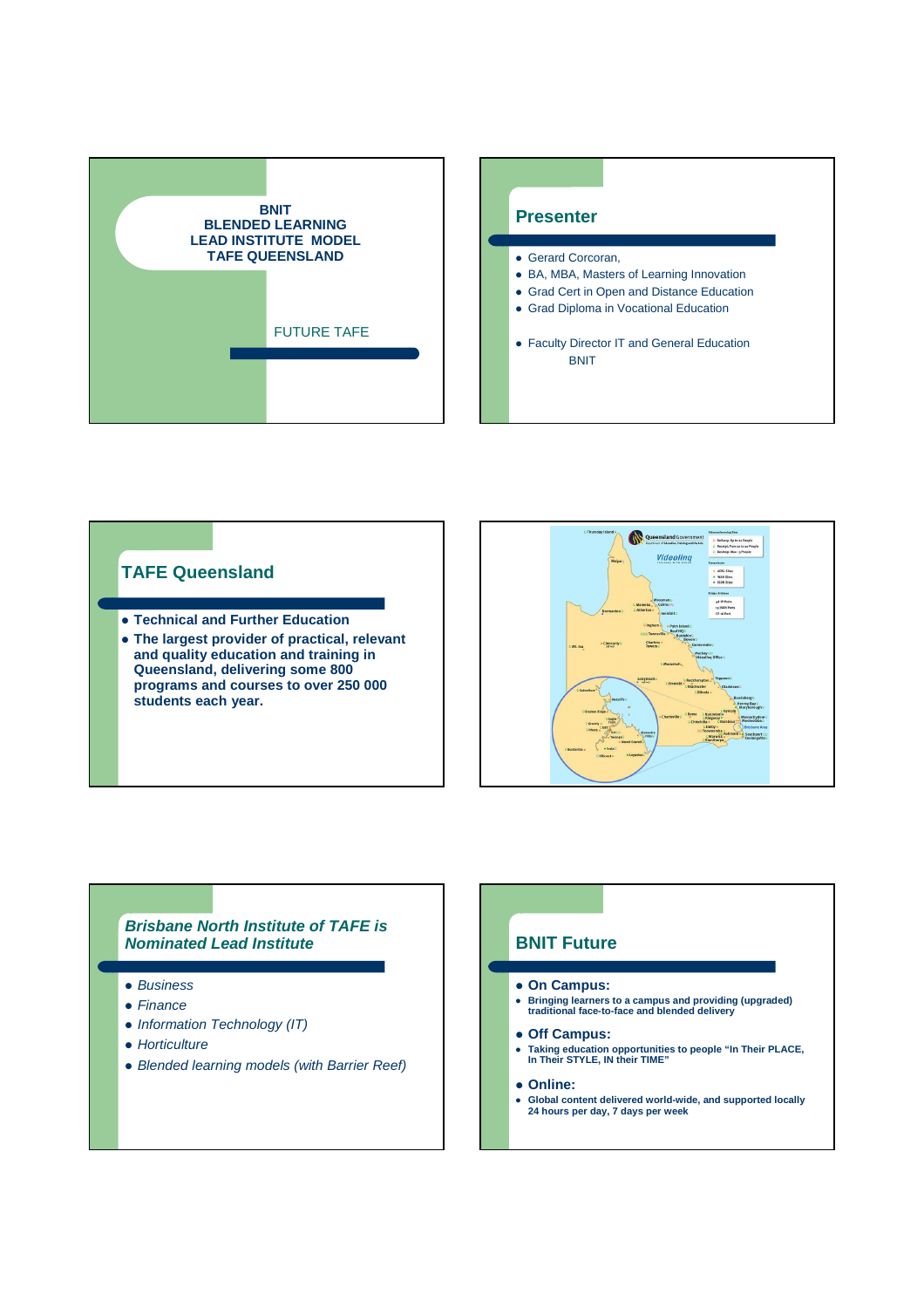





#### **Brisbane North Institute of TAFE is Nominated Lead Institute**

- Business
- Finance
- Information Technology (IT)
- Horticulture
- Blended learning models (with Barrier Reef)

## **BNIT Future**

- **On Campus:**
- **Bringing learners to a campus and providing (upgraded) traditional face-to-face and blended delivery**
- **Off Campus:**
- **Taking education opportunities to people "In Their PLACE, In Their STYLE, IN their TIME"**
- **Online:**
- **Global content delivered world-wide, and supported locally 24 hours per day, 7 days per week**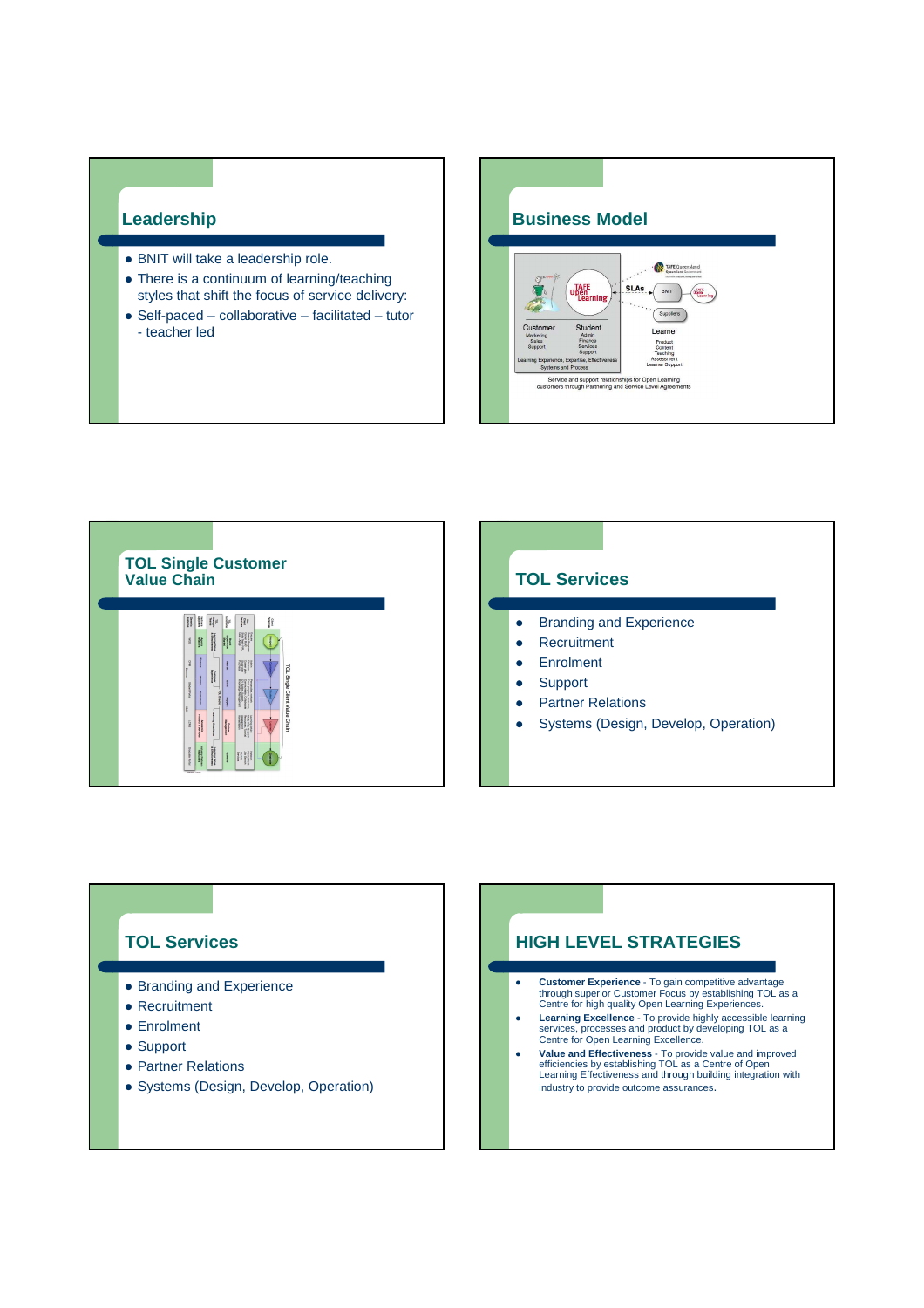### **Leadership**

- BNIT will take a leadership role.
- There is a continuum of learning/teaching styles that shift the focus of service delivery:
- Self-paced collaborative facilitated tutor - teacher led





# **TOL Services**

- Branding and Experience
- Recruitment
- Enrolment
- Support
- Partner Relations
- Systems (Design, Develop, Operation)

### **HIGH LEVEL STRATEGIES**

- **Customer Experience** To gain competitive advantage through superior Customer Focus by establishing TOL as a Centre for high quality Open Learning Experiences.
- **Learning Excellence** To provide highly accessible learning services, processes and product by developing TOL as a Centre for Open Learning Excellence.
- **Value and Effectiveness** To provide value and improved<br>efficiencies by establishing TOL as a Centre of Open<br>Learning Effectiveness and through building integration with industry to provide outcome assurances.